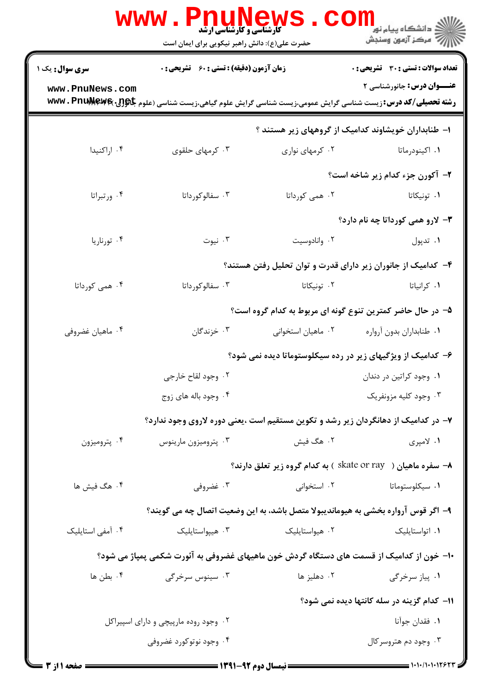|                                                              | <b>WWW .</b><br><b>PNUNEWS</b><br><b>گارشناسی و کارشناسی ارشد</b><br>حضرت علی(ع): دانش راهبر نیکویی برای ایمان است   |                    | ڪ دانشڪاه پيام نور ■<br>/> مرڪز آزمون وسنجش                  |  |  |
|--------------------------------------------------------------|----------------------------------------------------------------------------------------------------------------------|--------------------|--------------------------------------------------------------|--|--|
| <b>سری سوال :</b> یک ۱                                       | <b>زمان آزمون (دقیقه) : تستی : 60 ٪ تشریحی : 0</b>                                                                   |                    | <b>تعداد سوالات : تستی : 30 ٪ تشریحی : 0</b>                 |  |  |
| www.PnuNews.com                                              | <b>رشته تحصیلی/کد درس: زیست شناسی گرایش عمومی،زیست شناسی گرایش علوم گیاهی،زیست شناسی (علوم جاگولل- www . PnuNewe</b> |                    | <b>عنـــوان درس:</b> جانورشناسی ۲                            |  |  |
|                                                              |                                                                                                                      |                    | ۱– طنابداران خویشاوند کدامیک از گروههای زیر هستند ؟          |  |  |
| ۰۴ اراکنیدا                                                  | ۰۳ کرمهای حلقوی                                                                                                      | ۰۲ کرمهای نواری    | ۰۱ اکینودرماتا                                               |  |  |
|                                                              |                                                                                                                      |                    | ۲- آکورن جزء کدام زیر شاخه است؟                              |  |  |
| ۰۴ ورتبراتا                                                  | ۰۳ سفالوکورداتا                                                                                                      | ۰۲ همی کورداتا     | ۰۱ تونیکاتا                                                  |  |  |
|                                                              |                                                                                                                      |                    | ۳- لارو همی کورداتا چه نام دارد؟                             |  |  |
| ۰۴ تورناریا                                                  | ۰۳ نیوت                                                                                                              | ۰۲ وانادوسيت       | ۰۱ تدپول                                                     |  |  |
| ۴- کدامیک از جانوران زیر دارای قدرت و توان تحلیل رفتن هستند؟ |                                                                                                                      |                    |                                                              |  |  |
| ۰۴ همی کورداتا                                               | ۰۳ سفالوکورداتا                                                                                                      | ۰۲ تونیکاتا        | ٠١ كرانياتا                                                  |  |  |
|                                                              |                                                                                                                      |                    | ۵– در حال حاضر کمترین تنوع گونه ای مربوط به کدام گروه است؟   |  |  |
| ۰۴ ماهيان غضروفي                                             | ۰۳ خزندگان                                                                                                           | ۰۲ ماهیان استخوانی | ٠١ طنابداران بدون آرواره                                     |  |  |
|                                                              | ۶– کدامیک از ویژگیهای زیر در رده سیکلوستوماتا دیده نمی شود؟                                                          |                    |                                                              |  |  |
|                                                              | ۰۲ وجود لقاح خارجي                                                                                                   |                    | ٠١. وجود كراتين در دندان                                     |  |  |
|                                                              | ۰۴ وجود باله های زوج                                                                                                 |                    | ۰۳ وجود کليه مزونفريک                                        |  |  |
|                                                              | ۷– در کدامیک از دهانگردان زیر رشد و تکوین مستقیم است ،یعنی دوره لاروی وجود ندارد؟                                    |                    |                                                              |  |  |
| ۰۴ پتروميزون                                                 | ۰۳ پتروميزون مارينوس                                                                                                 | ۰۲ هگ فیش          | ۱. لامپری                                                    |  |  |
|                                                              |                                                                                                                      |                    | ۸- سفره ماهیان ( skate or ray ) به کدام گروه زیر تعلق دارند؟ |  |  |
| ۰۴ هگ فیش ها                                                 | ۰۳ غضروفی                                                                                                            | ۰۲ استخوانی        | ۰۱ سیکلوستوماتا                                              |  |  |
|                                                              | ۹– اگر قوس آرواره بخشی به هیوماندیبولا متصل باشد، به این وضعیت اتصال چه می گویند؟                                    |                    |                                                              |  |  |
| ۰۴ آمفی استایلیک                                             | ۰۳ هيپواستايليک                                                                                                      | ۰۲ هیواستایلیک     | ۰۱ اتواستايليک                                               |  |  |
|                                                              | ۱۰– خون از کدامیک از قسمت های دستگاه گردش خون ماهیهای غضروفی به آئورت شکمی پمپاژ می شود؟                             |                    |                                                              |  |  |
| ۰۴ بطن ها                                                    | ۰۳ سینوس سرخرگی                                                                                                      | ۰۲ دهليز ها        | ۰۱ پیاز سرخرگی                                               |  |  |
|                                                              |                                                                                                                      |                    | 11- كدام گزينه در سله كانتها ديده نمي شود؟                   |  |  |
|                                                              | ۰۲ وجود روده مارپیچی و دارای اسپیراکل                                                                                |                    | ٠١ فقدان جوآنا                                               |  |  |
|                                                              | ۰۴ وجود نوتوکورد غضروفی                                                                                              |                    | ۰۳ وجود دم هتروسرکال                                         |  |  |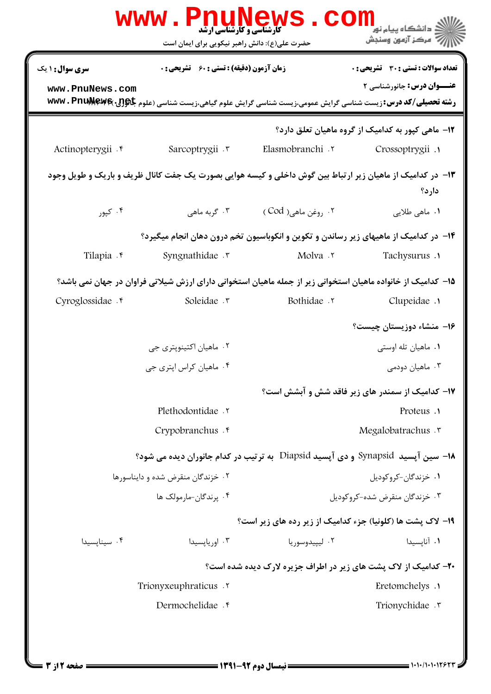| تعداد سوالات : تستى : 30 - تشريحي : 0             |                                                                                                                            | <b>زمان آزمون (دقیقه) : تستی : 60 ٪ تشریحی : 0</b> | <b>سری سوال :</b> ۱ یک |
|---------------------------------------------------|----------------------------------------------------------------------------------------------------------------------------|----------------------------------------------------|------------------------|
| <b>عنـــوان درس:</b> جانورشناسی ۲                 | <b>رشته تحصیلی/کد درس:</b> زیست شناسی گرایش عمومی،زیست شناسی گرایش علوم گیاهی،زیست شناسی (علوم <b>جاگولل WWW . PnuMewe</b> |                                                    | www.PnuNews.com        |
| 1۲- ماهی کیور به کدامیک از گروه ماهیان تعلق دارد؟ |                                                                                                                            |                                                    |                        |
| Crossoptrygii .                                   | Elasmobranchi .                                                                                                            | Sarcoptrygii . v                                   | Actinopterygii . e     |
| دارد؟                                             | ۱۳- در کدامیک از ماهیان زیر ارتباط بین گوش داخلی و کیسه هوایی بصورت یک جفت کانال ظریف و باریک و طویل وجود                  |                                                    |                        |
| ۰۱ ماه <sub>ی</sub> طلایی                         | ۰۲ روغن ماهي( Cod )                                                                                                        | ۰۳ گربه ماهی                                       | ۰۴ کپور                |
|                                                   | ۱۴– در کدامیک از ماهیهای زیر رساندن و تکوین و انکوباسیون تخم درون دهان انجام میگیرد؟                                       |                                                    |                        |
| Tachysurus .                                      | Molva .r                                                                                                                   | Syngnathidae .                                     | Tilapia f              |
|                                                   | ۱۵– کدامیک از خانواده ماهیان استخوانی زیر از جمله ماهیان استخوانی دارای ارزش شیلاتی فراوان در جهان نمی باشد؟               |                                                    |                        |
| Clupeidae .                                       | Bothidae .v                                                                                                                | Soleidae .r                                        | Cyroglossidae . e      |
| ۱۶- منشاء دوزیستان چیست؟                          |                                                                                                                            |                                                    |                        |
| ۰۱ ماهيان تله اوستي                               |                                                                                                                            | ۰۲ ماهيان اکتينوپتري جي                            |                        |
| ۰۳ ماهيان دودمي                                   |                                                                                                                            | ۰۴ ماهیان کراس اپتری جی                            |                        |
| ۱۷– کدامیک از سمندر های زیر فاقد شش و آبشش است؟   |                                                                                                                            |                                                    |                        |
| Proteus .                                         |                                                                                                                            | Plethodontidae .v                                  |                        |
| Megalobatrachus .r                                |                                                                                                                            | Crypobranchus . e                                  |                        |
|                                                   | ۱۸- سین آپسید  Synapsid و دی آپسید Diapsid  به ترتیب در کدام جانوران دیده می شود؟                                          |                                                    |                        |
| ۰۱ خزندگان-کروکوديل                               |                                                                                                                            | ۰۲ خزندگان منقرض شده و دایناسورها                  |                        |
| ۰۳ خزندگان منقرض شده-کروکودیل                     |                                                                                                                            | ۰۴ پرندگان-مارمولک ها                              |                        |
|                                                   | ۱۹- لاک پشت ها (کلونیا) جزء کدامیک از زیر رده های زیر است؟                                                                 |                                                    |                        |
| ۰۱ آنایسیدا                                       | ۰۲ لیپیدوسوریا                                                                                                             | ۰۳ اوریایسیدا                                      | ۰۴ سینایسیدا           |
|                                                   | ۲۰- کدامیک از لاک پشت های زیر در اطراف جزیره لارک دیده شده است؟                                                            |                                                    |                        |
| Eretomchelys .                                    |                                                                                                                            | Trionyxeuphraticus .                               |                        |
| Trionychidae . v                                  |                                                                                                                            | Dermochelidae . e                                  |                        |